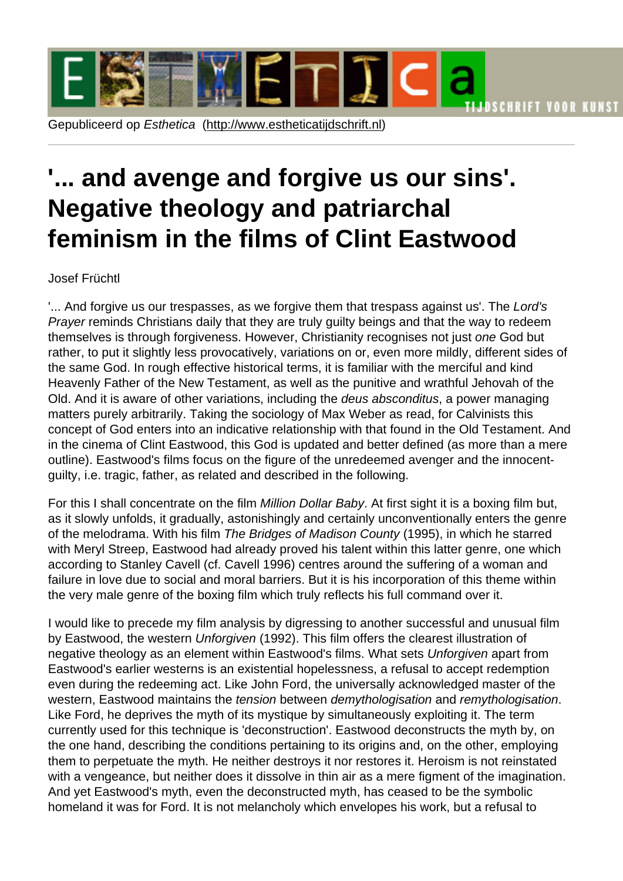## '... and aveng[e and forgive us](http://www.estheticatijdschrift.nl) our sins'. Negative theology and patriarchal feminism in the films of Clint Eastwood

## Josef Früchtl

'... And forgive us our trespasses, as we forgive them that trespass against us'. The Lord's Prayer reminds Christians daily that they are truly guilty beings and that the way to redeem themselves is through forgiveness. However, Christianity recognises not just one God but rather, to put it slightly less provocatively, variations on or, even more mildly, different sides of the same God. In rough effective historical terms, it is familiar with the merciful and kind Heavenly Father of the New Testament, as well as the punitive and wrathful Jehovah of the Old. And it is aware of other variations, including the deus absconditus, a power managing matters purely arbitrarily. Taking the sociology of Max Weber as read, for Calvinists this concept of God enters into an indicative relationship with that found in the Old Testament. And in the cinema of Clint Eastwood, this God is updated and better defined (as more than a mere outline). Eastwood's films focus on the figure of the unredeemed avenger and the innocentguilty, i.e. tragic, father, as related and described in the following.

For this I shall concentrate on the film Million Dollar Baby. At first sight it is a boxing film but, as it slowly unfolds, it gradually, astonishingly and certainly unconventionally enters the genre of the melodrama. With his film The Bridges of Madison County (1995), in which he starred with Meryl Streep, Eastwood had already proved his talent within this latter genre, one which according to Stanley Cavell (cf. Cavell 1996) centres around the suffering of a woman and failure in love due to social and moral barriers. But it is his incorporation of this theme within the very male genre of the boxing film which truly reflects his full command over it.

I would like to precede my film analysis by digressing to another successful and unusual film by Eastwood, the western Unforgiven (1992). This film offers the clearest illustration of negative theology as an element within Eastwood's films. What sets Unforgiven apart from Eastwood's earlier westerns is an existential hopelessness, a refusal to accept redemption even during the redeeming act. Like John Ford, the universally acknowledged master of the western, Eastwood maintains the tension between demythologisation and remythologisation. Like Ford, he deprives the myth of its mystique by simultaneously exploiting it. The term currently used for this technique is 'deconstruction'. Eastwood deconstructs the myth by, on the one hand, describing the conditions pertaining to its origins and, on the other, employing them to perpetuate the myth. He neither destroys it nor restores it. Heroism is not reinstated with a vengeance, but neither does it dissolve in thin air as a mere figment of the imagination. And yet Eastwood's myth, even the deconstructed myth, has ceased to be the symbolic homeland it was for Ford. It is not melancholy which envelopes his work, but a refusal to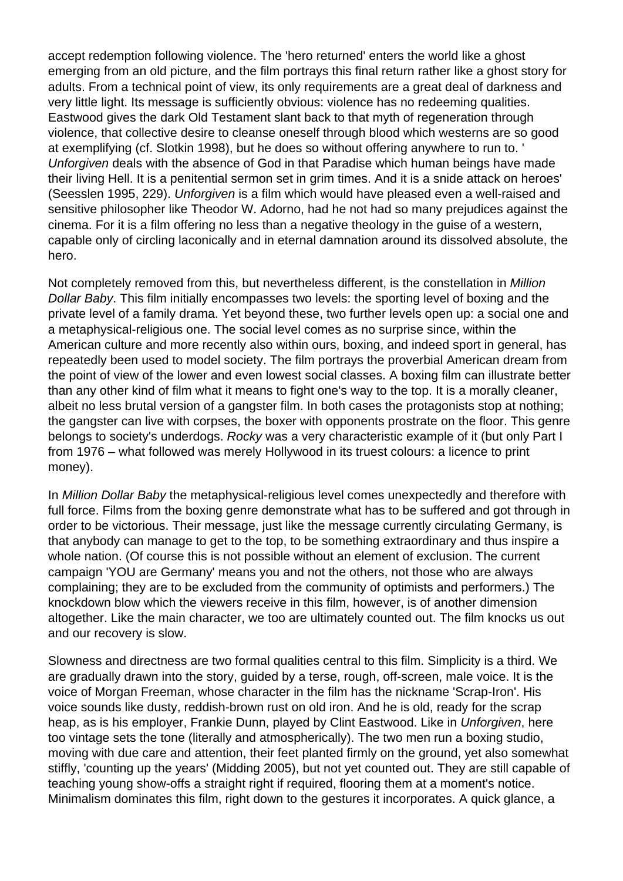accept redemption following violence. The 'hero returned' enters the world like a ghost emerging from an old picture, and the film portrays this final return rather like a ghost story for adults. From a technical point of view, its only requirements are a great deal of darkness and very little light. Its message is sufficiently obvious: violence has no redeeming qualities. Eastwood gives the dark Old Testament slant back to that myth of regeneration through violence, that collective desire to cleanse oneself through blood which westerns are so good at exemplifying (cf. Slotkin 1998), but he does so without offering anywhere to run to. ' Unforgiven deals with the absence of God in that Paradise which human beings have made their living Hell. It is a penitential sermon set in grim times. And it is a snide attack on heroes' (Seesslen 1995, 229). Unforgiven is a film which would have pleased even a well-raised and sensitive philosopher like Theodor W. Adorno, had he not had so many prejudices against the cinema. For it is a film offering no less than a negative theology in the guise of a western, capable only of circling laconically and in eternal damnation around its dissolved absolute, the hero.

Not completely removed from this, but nevertheless different, is the constellation in Million Dollar Baby. This film initially encompasses two levels: the sporting level of boxing and the private level of a family drama. Yet beyond these, two further levels open up: a social one and a metaphysical-religious one. The social level comes as no surprise since, within the American culture and more recently also within ours, boxing, and indeed sport in general, has repeatedly been used to model society. The film portrays the proverbial American dream from the point of view of the lower and even lowest social classes. A boxing film can illustrate better than any other kind of film what it means to fight one's way to the top. It is a morally cleaner, albeit no less brutal version of a gangster film. In both cases the protagonists stop at nothing; the gangster can live with corpses, the boxer with opponents prostrate on the floor. This genre belongs to society's underdogs. Rocky was a very characteristic example of it (but only Part I from 1976 – what followed was merely Hollywood in its truest colours: a licence to print money).

In Million Dollar Baby the metaphysical-religious level comes unexpectedly and therefore with full force. Films from the boxing genre demonstrate what has to be suffered and got through in order to be victorious. Their message, just like the message currently circulating Germany, is that anybody can manage to get to the top, to be something extraordinary and thus inspire a whole nation. (Of course this is not possible without an element of exclusion. The current campaign 'YOU are Germany' means you and not the others, not those who are always complaining; they are to be excluded from the community of optimists and performers.) The knockdown blow which the viewers receive in this film, however, is of another dimension altogether. Like the main character, we too are ultimately counted out. The film knocks us out and our recovery is slow.

Slowness and directness are two formal qualities central to this film. Simplicity is a third. We are gradually drawn into the story, guided by a terse, rough, off-screen, male voice. It is the voice of Morgan Freeman, whose character in the film has the nickname 'Scrap-Iron'. His voice sounds like dusty, reddish-brown rust on old iron. And he is old, ready for the scrap heap, as is his employer, Frankie Dunn, played by Clint Eastwood. Like in Unforgiven, here too vintage sets the tone (literally and atmospherically). The two men run a boxing studio, moving with due care and attention, their feet planted firmly on the ground, yet also somewhat stiffly, 'counting up the years' (Midding 2005), but not yet counted out. They are still capable of teaching young show-offs a straight right if required, flooring them at a moment's notice. Minimalism dominates this film, right down to the gestures it incorporates. A quick glance, a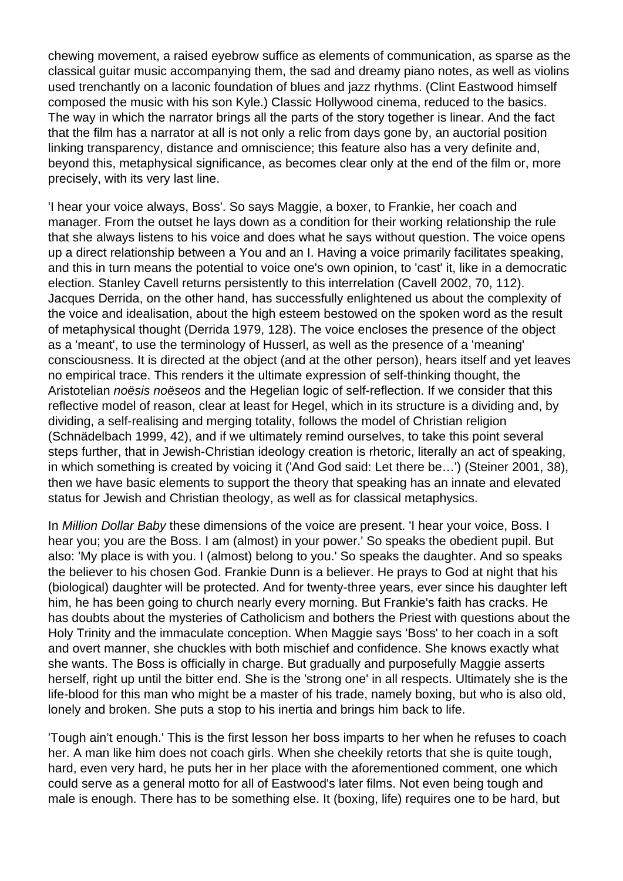chewing movement, a raised eyebrow suffice as elements of communication, as sparse as the classical guitar music accompanying them, the sad and dreamy piano notes, as well as violins used trenchantly on a laconic foundation of blues and jazz rhythms. (Clint Eastwood himself composed the music with his son Kyle.) Classic Hollywood cinema, reduced to the basics. The way in which the narrator brings all the parts of the story together is linear. And the fact that the film has a narrator at all is not only a relic from days gone by, an auctorial position linking transparency, distance and omniscience; this feature also has a very definite and, beyond this, metaphysical significance, as becomes clear only at the end of the film or, more precisely, with its very last line.

'I hear your voice always, Boss'. So says Maggie, a boxer, to Frankie, her coach and manager. From the outset he lays down as a condition for their working relationship the rule that she always listens to his voice and does what he says without question. The voice opens up a direct relationship between a You and an I. Having a voice primarily facilitates speaking, and this in turn means the potential to voice one's own opinion, to 'cast' it, like in a democratic election. Stanley Cavell returns persistently to this interrelation (Cavell 2002, 70, 112). Jacques Derrida, on the other hand, has successfully enlightened us about the complexity of the voice and idealisation, about the high esteem bestowed on the spoken word as the result of metaphysical thought (Derrida 1979, 128). The voice encloses the presence of the object as a 'meant', to use the terminology of Husserl, as well as the presence of a 'meaning' consciousness. It is directed at the object (and at the other person), hears itself and yet leaves no empirical trace. This renders it the ultimate expression of self-thinking thought, the Aristotelian noësis noëseos and the Hegelian logic of self-reflection. If we consider that this reflective model of reason, clear at least for Hegel, which in its structure is a dividing and, by dividing, a self-realising and merging totality, follows the model of Christian religion (Schnädelbach 1999, 42), and if we ultimately remind ourselves, to take this point several steps further, that in Jewish-Christian ideology creation is rhetoric, literally an act of speaking, in which something is created by voicing it ('And God said: Let there be…') (Steiner 2001, 38), then we have basic elements to support the theory that speaking has an innate and elevated status for Jewish and Christian theology, as well as for classical metaphysics.

In Million Dollar Baby these dimensions of the voice are present. 'I hear your voice, Boss. I hear you; you are the Boss. I am (almost) in your power.' So speaks the obedient pupil. But also: 'My place is with you. I (almost) belong to you.' So speaks the daughter. And so speaks the believer to his chosen God. Frankie Dunn is a believer. He prays to God at night that his (biological) daughter will be protected. And for twenty-three years, ever since his daughter left him, he has been going to church nearly every morning. But Frankie's faith has cracks. He has doubts about the mysteries of Catholicism and bothers the Priest with questions about the Holy Trinity and the immaculate conception. When Maggie says 'Boss' to her coach in a soft and overt manner, she chuckles with both mischief and confidence. She knows exactly what she wants. The Boss is officially in charge. But gradually and purposefully Maggie asserts herself, right up until the bitter end. She is the 'strong one' in all respects. Ultimately she is the life-blood for this man who might be a master of his trade, namely boxing, but who is also old, lonely and broken. She puts a stop to his inertia and brings him back to life.

'Tough ain't enough.' This is the first lesson her boss imparts to her when he refuses to coach her. A man like him does not coach girls. When she cheekily retorts that she is quite tough, hard, even very hard, he puts her in her place with the aforementioned comment, one which could serve as a general motto for all of Eastwood's later films. Not even being tough and male is enough. There has to be something else. It (boxing, life) requires one to be hard, but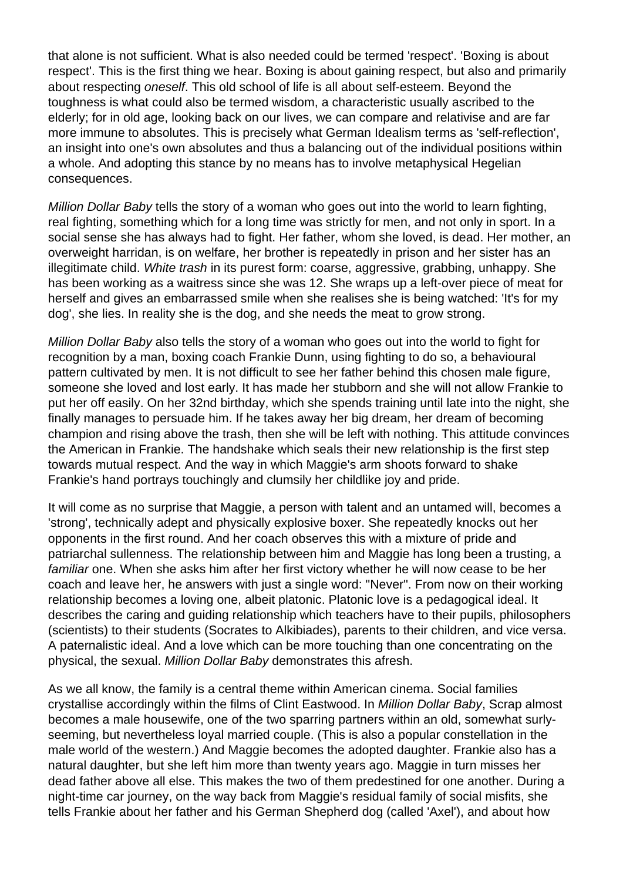that alone is not sufficient. What is also needed could be termed 'respect'. 'Boxing is about respect'. This is the first thing we hear. Boxing is about gaining respect, but also and primarily about respecting oneself. This old school of life is all about self-esteem. Beyond the toughness is what could also be termed wisdom, a characteristic usually ascribed to the elderly; for in old age, looking back on our lives, we can compare and relativise and are far more immune to absolutes. This is precisely what German Idealism terms as 'self-reflection', an insight into one's own absolutes and thus a balancing out of the individual positions within a whole. And adopting this stance by no means has to involve metaphysical Hegelian consequences.

Million Dollar Baby tells the story of a woman who goes out into the world to learn fighting, real fighting, something which for a long time was strictly for men, and not only in sport. In a social sense she has always had to fight. Her father, whom she loved, is dead. Her mother, an overweight harridan, is on welfare, her brother is repeatedly in prison and her sister has an illegitimate child. White trash in its purest form: coarse, aggressive, grabbing, unhappy. She has been working as a waitress since she was 12. She wraps up a left-over piece of meat for herself and gives an embarrassed smile when she realises she is being watched: 'It's for my dog', she lies. In reality she is the dog, and she needs the meat to grow strong.

Million Dollar Baby also tells the story of a woman who goes out into the world to fight for recognition by a man, boxing coach Frankie Dunn, using fighting to do so, a behavioural pattern cultivated by men. It is not difficult to see her father behind this chosen male figure, someone she loved and lost early. It has made her stubborn and she will not allow Frankie to put her off easily. On her 32nd birthday, which she spends training until late into the night, she finally manages to persuade him. If he takes away her big dream, her dream of becoming champion and rising above the trash, then she will be left with nothing. This attitude convinces the American in Frankie. The handshake which seals their new relationship is the first step towards mutual respect. And the way in which Maggie's arm shoots forward to shake Frankie's hand portrays touchingly and clumsily her childlike joy and pride.

It will come as no surprise that Maggie, a person with talent and an untamed will, becomes a 'strong', technically adept and physically explosive boxer. She repeatedly knocks out her opponents in the first round. And her coach observes this with a mixture of pride and patriarchal sullenness. The relationship between him and Maggie has long been a trusting, a familiar one. When she asks him after her first victory whether he will now cease to be her coach and leave her, he answers with just a single word: "Never". From now on their working relationship becomes a loving one, albeit platonic. Platonic love is a pedagogical ideal. It describes the caring and guiding relationship which teachers have to their pupils, philosophers (scientists) to their students (Socrates to Alkibiades), parents to their children, and vice versa. A paternalistic ideal. And a love which can be more touching than one concentrating on the physical, the sexual. Million Dollar Baby demonstrates this afresh.

As we all know, the family is a central theme within American cinema. Social families crystallise accordingly within the films of Clint Eastwood. In Million Dollar Baby, Scrap almost becomes a male housewife, one of the two sparring partners within an old, somewhat surlyseeming, but nevertheless loyal married couple. (This is also a popular constellation in the male world of the western.) And Maggie becomes the adopted daughter. Frankie also has a natural daughter, but she left him more than twenty years ago. Maggie in turn misses her dead father above all else. This makes the two of them predestined for one another. During a night-time car journey, on the way back from Maggie's residual family of social misfits, she tells Frankie about her father and his German Shepherd dog (called 'Axel'), and about how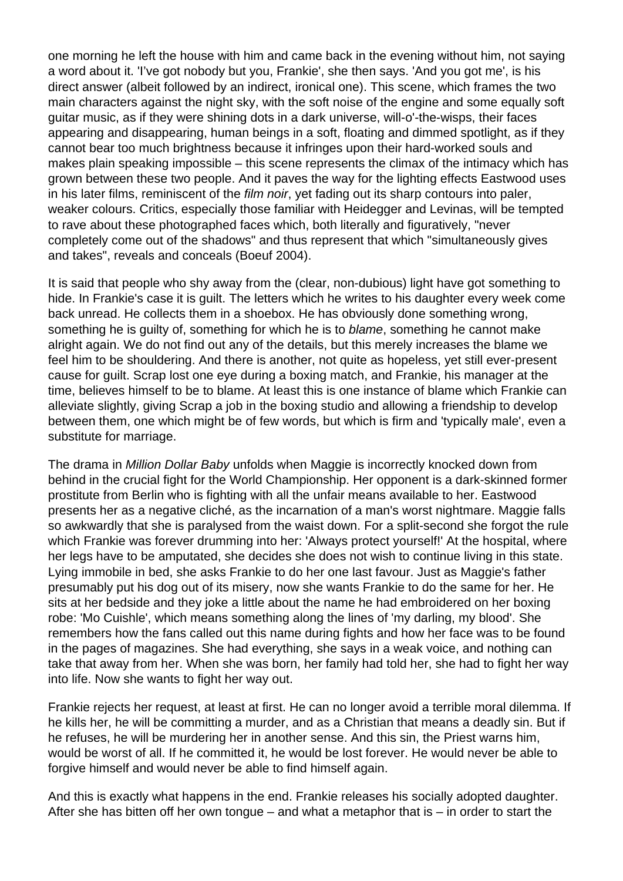one morning he left the house with him and came back in the evening without him, not saying a word about it. 'I've got nobody but you, Frankie', she then says. 'And you got me', is his direct answer (albeit followed by an indirect, ironical one). This scene, which frames the two main characters against the night sky, with the soft noise of the engine and some equally soft guitar music, as if they were shining dots in a dark universe, will-o'-the-wisps, their faces appearing and disappearing, human beings in a soft, floating and dimmed spotlight, as if they cannot bear too much brightness because it infringes upon their hard-worked souls and makes plain speaking impossible – this scene represents the climax of the intimacy which has grown between these two people. And it paves the way for the lighting effects Eastwood uses in his later films, reminiscent of the film noir, yet fading out its sharp contours into paler, weaker colours. Critics, especially those familiar with Heidegger and Levinas, will be tempted to rave about these photographed faces which, both literally and figuratively, "never completely come out of the shadows" and thus represent that which "simultaneously gives and takes", reveals and conceals (Boeuf 2004).

It is said that people who shy away from the (clear, non-dubious) light have got something to hide. In Frankie's case it is guilt. The letters which he writes to his daughter every week come back unread. He collects them in a shoebox. He has obviously done something wrong, something he is guilty of, something for which he is to blame, something he cannot make alright again. We do not find out any of the details, but this merely increases the blame we feel him to be shouldering. And there is another, not quite as hopeless, yet still ever-present cause for guilt. Scrap lost one eye during a boxing match, and Frankie, his manager at the time, believes himself to be to blame. At least this is one instance of blame which Frankie can alleviate slightly, giving Scrap a job in the boxing studio and allowing a friendship to develop between them, one which might be of few words, but which is firm and 'typically male', even a substitute for marriage.

The drama in Million Dollar Baby unfolds when Maggie is incorrectly knocked down from behind in the crucial fight for the World Championship. Her opponent is a dark-skinned former prostitute from Berlin who is fighting with all the unfair means available to her. Eastwood presents her as a negative cliché, as the incarnation of a man's worst nightmare. Maggie falls so awkwardly that she is paralysed from the waist down. For a split-second she forgot the rule which Frankie was forever drumming into her: 'Always protect yourself!' At the hospital, where her legs have to be amputated, she decides she does not wish to continue living in this state. Lying immobile in bed, she asks Frankie to do her one last favour. Just as Maggie's father presumably put his dog out of its misery, now she wants Frankie to do the same for her. He sits at her bedside and they joke a little about the name he had embroidered on her boxing robe: 'Mo Cuishle', which means something along the lines of 'my darling, my blood'. She remembers how the fans called out this name during fights and how her face was to be found in the pages of magazines. She had everything, she says in a weak voice, and nothing can take that away from her. When she was born, her family had told her, she had to fight her way into life. Now she wants to fight her way out.

Frankie rejects her request, at least at first. He can no longer avoid a terrible moral dilemma. If he kills her, he will be committing a murder, and as a Christian that means a deadly sin. But if he refuses, he will be murdering her in another sense. And this sin, the Priest warns him, would be worst of all. If he committed it, he would be lost forever. He would never be able to forgive himself and would never be able to find himself again.

And this is exactly what happens in the end. Frankie releases his socially adopted daughter. After she has bitten off her own tongue – and what a metaphor that is – in order to start the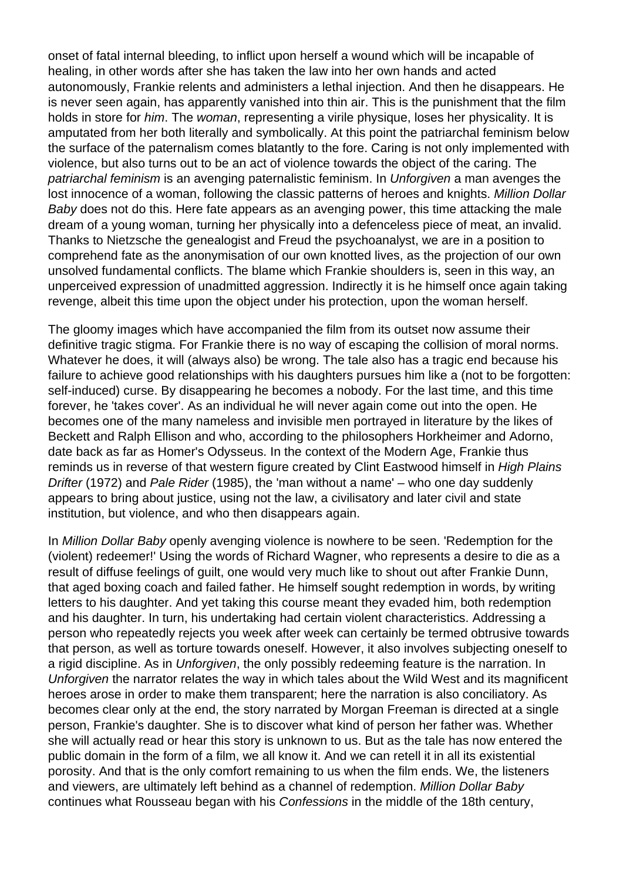onset of fatal internal bleeding, to inflict upon herself a wound which will be incapable of healing, in other words after she has taken the law into her own hands and acted autonomously, Frankie relents and administers a lethal injection. And then he disappears. He is never seen again, has apparently vanished into thin air. This is the punishment that the film holds in store for *him*. The *woman*, representing a virile physique, loses her physicality. It is amputated from her both literally and symbolically. At this point the patriarchal feminism below the surface of the paternalism comes blatantly to the fore. Caring is not only implemented with violence, but also turns out to be an act of violence towards the object of the caring. The patriarchal feminism is an avenging paternalistic feminism. In Unforgiven a man avenges the lost innocence of a woman, following the classic patterns of heroes and knights. Million Dollar Baby does not do this. Here fate appears as an avenging power, this time attacking the male dream of a young woman, turning her physically into a defenceless piece of meat, an invalid. Thanks to Nietzsche the genealogist and Freud the psychoanalyst, we are in a position to comprehend fate as the anonymisation of our own knotted lives, as the projection of our own unsolved fundamental conflicts. The blame which Frankie shoulders is, seen in this way, an unperceived expression of unadmitted aggression. Indirectly it is he himself once again taking revenge, albeit this time upon the object under his protection, upon the woman herself.

The gloomy images which have accompanied the film from its outset now assume their definitive tragic stigma. For Frankie there is no way of escaping the collision of moral norms. Whatever he does, it will (always also) be wrong. The tale also has a tragic end because his failure to achieve good relationships with his daughters pursues him like a (not to be forgotten: self-induced) curse. By disappearing he becomes a nobody. For the last time, and this time forever, he 'takes cover'. As an individual he will never again come out into the open. He becomes one of the many nameless and invisible men portrayed in literature by the likes of Beckett and Ralph Ellison and who, according to the philosophers Horkheimer and Adorno, date back as far as Homer's Odysseus. In the context of the Modern Age, Frankie thus reminds us in reverse of that western figure created by Clint Eastwood himself in High Plains Drifter (1972) and Pale Rider (1985), the 'man without a name' – who one day suddenly appears to bring about justice, using not the law, a civilisatory and later civil and state institution, but violence, and who then disappears again.

In Million Dollar Baby openly avenging violence is nowhere to be seen. 'Redemption for the (violent) redeemer!' Using the words of Richard Wagner, who represents a desire to die as a result of diffuse feelings of guilt, one would very much like to shout out after Frankie Dunn, that aged boxing coach and failed father. He himself sought redemption in words, by writing letters to his daughter. And yet taking this course meant they evaded him, both redemption and his daughter. In turn, his undertaking had certain violent characteristics. Addressing a person who repeatedly rejects you week after week can certainly be termed obtrusive towards that person, as well as torture towards oneself. However, it also involves subjecting oneself to a rigid discipline. As in Unforgiven, the only possibly redeeming feature is the narration. In Unforgiven the narrator relates the way in which tales about the Wild West and its magnificent heroes arose in order to make them transparent; here the narration is also conciliatory. As becomes clear only at the end, the story narrated by Morgan Freeman is directed at a single person, Frankie's daughter. She is to discover what kind of person her father was. Whether she will actually read or hear this story is unknown to us. But as the tale has now entered the public domain in the form of a film, we all know it. And we can retell it in all its existential porosity. And that is the only comfort remaining to us when the film ends. We, the listeners and viewers, are ultimately left behind as a channel of redemption. Million Dollar Baby continues what Rousseau began with his Confessions in the middle of the 18th century,